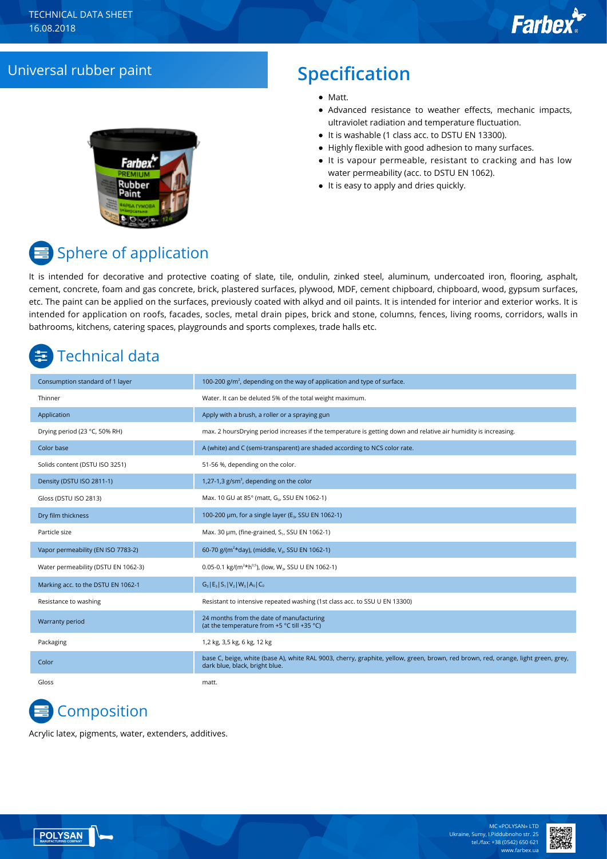## Universal rubber paint **Specification**

### • Matt.

- Advanced resistance to weather effects, mechanic impacts, ultraviolet radiation and temperature fluctuation.
- It is washable (1 class acc. to DSTU EN 13300).
- Highly flexible with good adhesion to many surfaces.
- It is vapour permeable, resistant to cracking and has low water permeability (acc. to DSTU EN 1062).
- It is easy to apply and dries quickly.



# Sphere of application

It is intended for decorative and protective coating of slate, tile, ondulin, zinked steel, aluminum, undercoated iron, flooring, asphalt, cement, concrete, foam and gas concrete, brick, plastered surfaces, plywood, MDF, cement chipboard, chipboard, wood, gypsum surfaces, etc. The paint can be applied on the surfaces, previously coated with alkyd and oil paints. It is intended for interior and exterior works. It is intended for application on roofs, facades, socles, metal drain pipes, brick and stone, columns, fences, living rooms, corridors, walls in bathrooms, kitchens, catering spaces, playgrounds and sports complexes, trade halls etc.

# Technical data

| Consumption standard of 1 layer     | 100-200 $g/m2$ , depending on the way of application and type of surface.                                                                                           |
|-------------------------------------|---------------------------------------------------------------------------------------------------------------------------------------------------------------------|
| Thinner                             | Water. It can be deluted 5% of the total weight maximum.                                                                                                            |
| Application                         | Apply with a brush, a roller or a spraying gun                                                                                                                      |
| Drying period (23 °C, 50% RH)       | max. 2 hoursDrying period increases if the temperature is getting down and relative air humidity is increasing.                                                     |
| Color base                          | A (white) and C (semi-transparent) are shaded according to NCS color rate.                                                                                          |
| Solids content (DSTU ISO 3251)      | 51-56 %, depending on the color.                                                                                                                                    |
| Density (DSTU ISO 2811-1)           | 1,27-1,3 $g/cm3$ , depending on the color                                                                                                                           |
| Gloss (DSTU ISO 2813)               | Max. 10 GU at 85° (matt, G <sub>3</sub> , SSU EN 1062-1)                                                                                                            |
| Dry film thickness                  | 100-200 μm, for a single layer (E <sub>3</sub> , SSU EN 1062-1)                                                                                                     |
| Particle size                       | Max. 30 µm, (fine-grained, S <sub>1</sub> , SSU EN 1062-1)                                                                                                          |
| Vapor permeability (EN ISO 7783-2)  | 60-70 g/(m <sup>2*</sup> day), (middle, V <sub>2</sub> , SSU EN 1062-1)                                                                                             |
| Water permeability (DSTU EN 1062-3) | 0.05-0.1 kg/( $m^2$ *h <sup>0,5</sup> ), (low, W <sub>3</sub> , SSU U EN 1062-1)                                                                                    |
| Marking acc. to the DSTU EN 1062-1  | $G_3$ $E_3$ $S_1$ $V_2$ $W_3$ $A_0$ $C_0$                                                                                                                           |
| Resistance to washing               | Resistant to intensive repeated washing (1st class acc. to SSU U EN 13300)                                                                                          |
| Warranty period                     | 24 months from the date of manufacturing<br>(at the temperature from +5 °C till +35 °C)                                                                             |
| Packaging                           | 1,2 kg, 3,5 kg, 6 kg, 12 kg                                                                                                                                         |
| Color                               | base C, beige, white (base A), white RAL 9003, cherry, graphite, yellow, green, brown, red brown, red, orange, light green, grey,<br>dark blue, black, bright blue. |
| Gloss                               | matt.                                                                                                                                                               |

# **Composition**

Acrylic latex, pigments, water, extenders, additives.

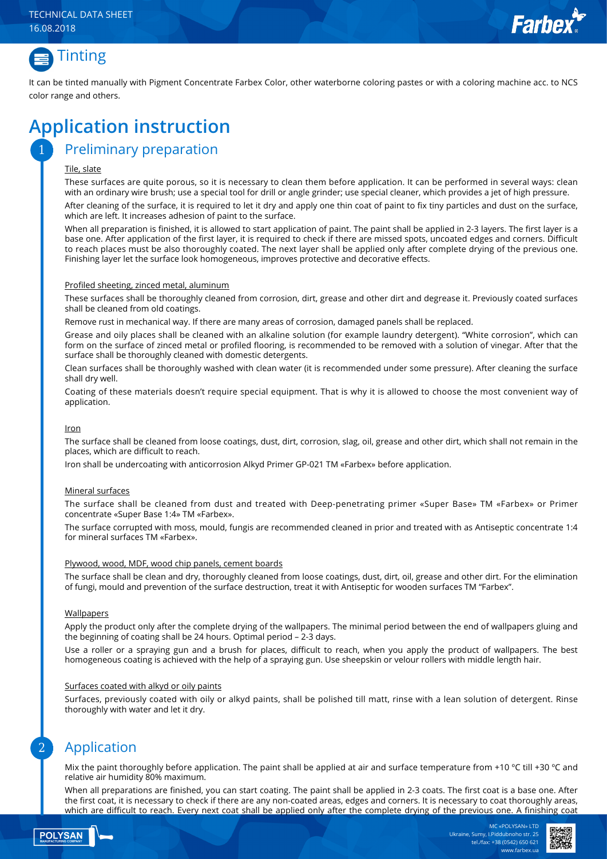



It can be tinted manually with Pigment Concentrate Farbex Color, other waterborne coloring pastes or with a coloring machine acc. to NCS color range and others.

# **Application instruction**

### Preliminary preparation

#### Tile, slate

1

These surfaces are quite porous, so it is necessary to clean them before application. It can be performed in several ways: clean with an ordinary wire brush; use a special tool for drill or angle grinder; use special cleaner, which provides a jet of high pressure.

After cleaning of the surface, it is required to let it dry and apply one thin coat of paint to fix tiny particles and dust on the surface, which are left. It increases adhesion of paint to the surface.

When all preparation is finished, it is allowed to start application of paint. The paint shall be applied in 2-3 layers. The first layer is a base one. After application of the first layer, it is required to check if there are missed spots, uncoated edges and corners. Difficult to reach places must be also thoroughly coated. The next layer shall be applied only after complete drying of the previous one. Finishing layer let the surface look homogeneous, improves protective and decorative effects.

#### Profiled sheeting, zinced metal, aluminum

These surfaces shall be thoroughly cleaned from corrosion, dirt, grease and other dirt and degrease it. Previously coated surfaces shall be cleaned from old coatings.

Remove rust in mechanical way. If there are many areas of corrosion, damaged panels shall be replaced.

Grease and oily places shall be cleaned with an alkaline solution (for example laundry detergent). "White corrosion", which can form on the surface of zinced metal or profiled flooring, is recommended to be removed with a solution of vinegar. After that the surface shall be thoroughly cleaned with domestic detergents.

Clean surfaces shall be thoroughly washed with clean water (it is recommended under some pressure). After cleaning the surface shall dry well.

Coating of these materials doesn't require special equipment. That is why it is allowed to choose the most convenient way of application.

#### Iron

The surface shall be cleaned from loose coatings, dust, dirt, corrosion, slag, oil, grease and other dirt, which shall not remain in the places, which are difficult to reach.

Iron shall be undercoating with anticorrosion Alkyd Primer GP-021 ТМ «Farbex» before application.

#### Mineral surfaces

The surface shall be cleaned from dust and treated with Deep-penetrating primer «Super Base» ТМ «Farbex» or Primer concentrate «Super Base 1:4» ТМ «Farbex».

The surface corrupted with moss, mould, fungis are recommended cleaned in prior and treated with as Antiseptic concentrate 1:4 for mineral surfaces ТМ «Farbex».

#### Plywood, wood, MDF, wood chip panels, cement boards

The surface shall be clean and dry, thoroughly cleaned from loose coatings, dust, dirt, oil, grease and other dirt. For the elimination of fungi, mould and prevention of the surface destruction, treat it with Antiseptic for wooden surfaces TM "Farbex".

#### **Wallpapers**

Apply the product only after the complete drying of the wallpapers. The minimal period between the end of wallpapers gluing and the beginning of coating shall be 24 hours. Optimal period – 2-3 days.

Use a roller or a spraying gun and a brush for places, difficult to reach, when you apply the product of wallpapers. The best homogeneous coating is achieved with the help of a spraying gun. Use sheepskin or velour rollers with middle length hair.

#### Surfaces coated with alkyd or oily paints

Surfaces, previously coated with oily or alkyd paints, shall be polished till matt, rinse with a lean solution of detergent. Rinse thoroughly with water and let it dry.

### Application

Mix the paint thoroughly before application. The paint shall be applied at air and surface temperature from +10 °C till +30 °C and relative air humidity 80% maximum.

When all preparations are finished, you can start coating. The paint shall be applied in 2-3 coats. The first coat is a base one. After the first coat, it is necessary to check if there are any non-coated areas, edges and corners. It is necessary to coat thoroughly areas, which are difficult to reach. Every next coat shall be applied only after the complete drying of the previous one. A finishing coat



2